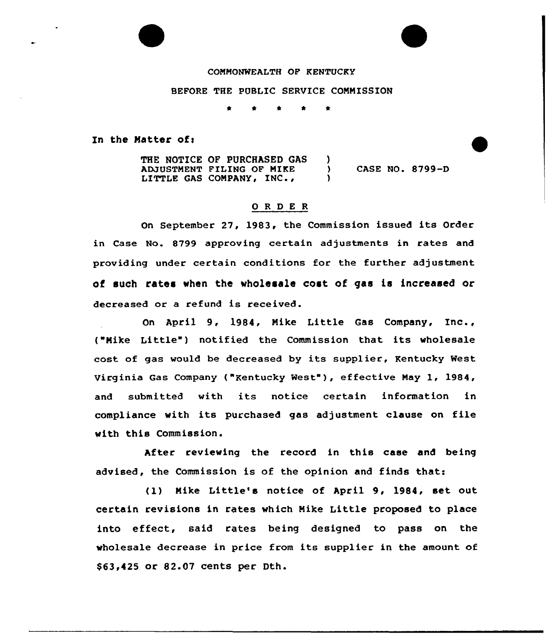COMMONWEALTH OF KENTUCKY

BEFORE THE PUBLIC SERVICE COMMISSION

\* \* \* \*

In the Matter of:

THE NOTICE OF PURCHASED GAS ADJUSTMENT FILING OF MIKE LITTLE GAS COMPANY, INC., )<br>) ) CASE NO. 8799-D )

## ORDER

On September 27, 1983, the Commission issued its Order in Case No. 8799 approving certain adjustments in rates and providing under certain conditions for the further adjustment of such rates when the wholesale cost of gas is increased or decreased or a refund is received.

On April 9, 1984, Mike Little Gas Company, Inc., ("Mike Little") notified the Commission that its wholesale cost of gas would be decreased by its supplier, Kentucky West Virginia Gas Company ("Kentucky West" ), effective May 1, 1984, and submitted with its notice certain information in compliance with its purchased gas adjustment clause on file with this Commission.

After reviewing the record in this case and being advised, the Commission is of the opinion and finds that:

(1) Mike Little's notice of April 9, 1984, set out certain revisions in rates which Mike Little proposed to place into effect, said rates being designed to pass on the wholesale decrease in price from its supplier in the amount of \$ 63,425 or 82.07 cents per Dth.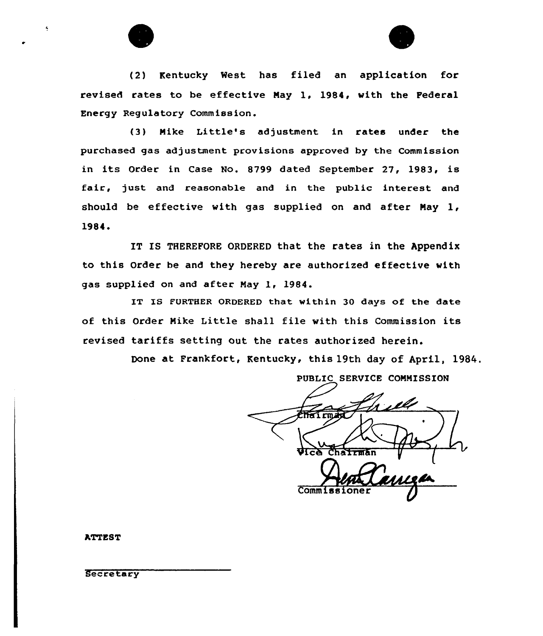



(2) Kentucky West has filed an application for revised rates to be effective Nay 1, 1984, with the Federal Energy Regulatory Commission.

(3) Nike Little's adjustment in rates under the purchased gas adjustment provisions approved by the Commission in its Order in Case No. 8799 dated September 27, 1983, is fair, just and reasonable and in the public interest and should be effective with gas supplied on and after Nay 1, 1984 <sup>~</sup>

IT IS THEREFORE ORDERED that the rates in the Appendix to this Order be and they hereby are authorized effective with gas supplied on and after Nay 1, 1984.

IT IS FURTHER ORDERED that within 30 days of the date of this Order Nike Little shall file with this Commission its revised tariffs setting out the rates authorized herein.

Done at Frankfort, Kentucky, this 19th day of April, 1984.

PUBLIC SERVICE COMMISSION  $\sqrt{C\Delta}$  Chairma Comm<sub>1</sub>

**ATTEST** 

Secretary